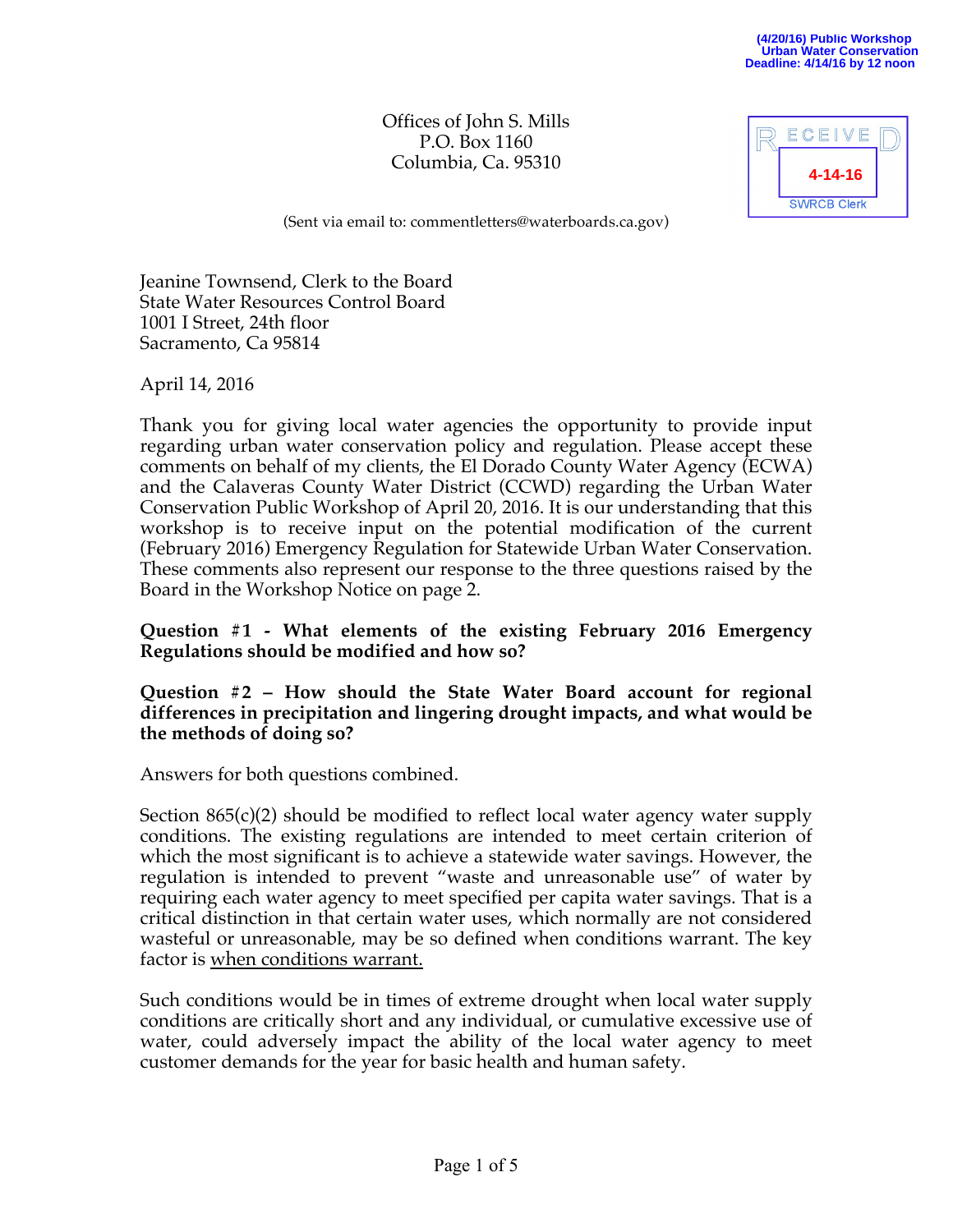Offices of John S. Mills P.O. Box 1160 Columbia, Ca. 95310

| ECEIVE             |  |
|--------------------|--|
| 4-14-16            |  |
| <b>SWRCB Clerk</b> |  |

(Sent via email to: commentletters@waterboards.ca.gov)

Jeanine Townsend, Clerk to the Board State Water Resources Control Board 1001 I Street, 24th floor Sacramento, Ca 95814

April 14, 2016

Thank you for giving local water agencies the opportunity to provide input regarding urban water conservation policy and regulation. Please accept these comments on behalf of my clients, the El Dorado County Water Agency (ECWA) and the Calaveras County Water District (CCWD) regarding the Urban Water Conservation Public Workshop of April 20, 2016. It is our understanding that this workshop is to receive input on the potential modification of the current (February 2016) Emergency Regulation for Statewide Urban Water Conservation. These comments also represent our response to the three questions raised by the Board in the Workshop Notice on page 2.

**Question #1 - What elements of the existing February 2016 Emergency Regulations should be modified and how so?**

**Question #2 – How should the State Water Board account for regional differences in precipitation and lingering drought impacts, and what would be the methods of doing so?**

Answers for both questions combined.

Section 865(c)(2) should be modified to reflect local water agency water supply conditions. The existing regulations are intended to meet certain criterion of which the most significant is to achieve a statewide water savings. However, the regulation is intended to prevent "waste and unreasonable use" of water by requiring each water agency to meet specified per capita water savings. That is a critical distinction in that certain water uses, which normally are not considered wasteful or unreasonable, may be so defined when conditions warrant. The key factor is when conditions warrant.

Such conditions would be in times of extreme drought when local water supply conditions are critically short and any individual, or cumulative excessive use of water, could adversely impact the ability of the local water agency to meet customer demands for the year for basic health and human safety.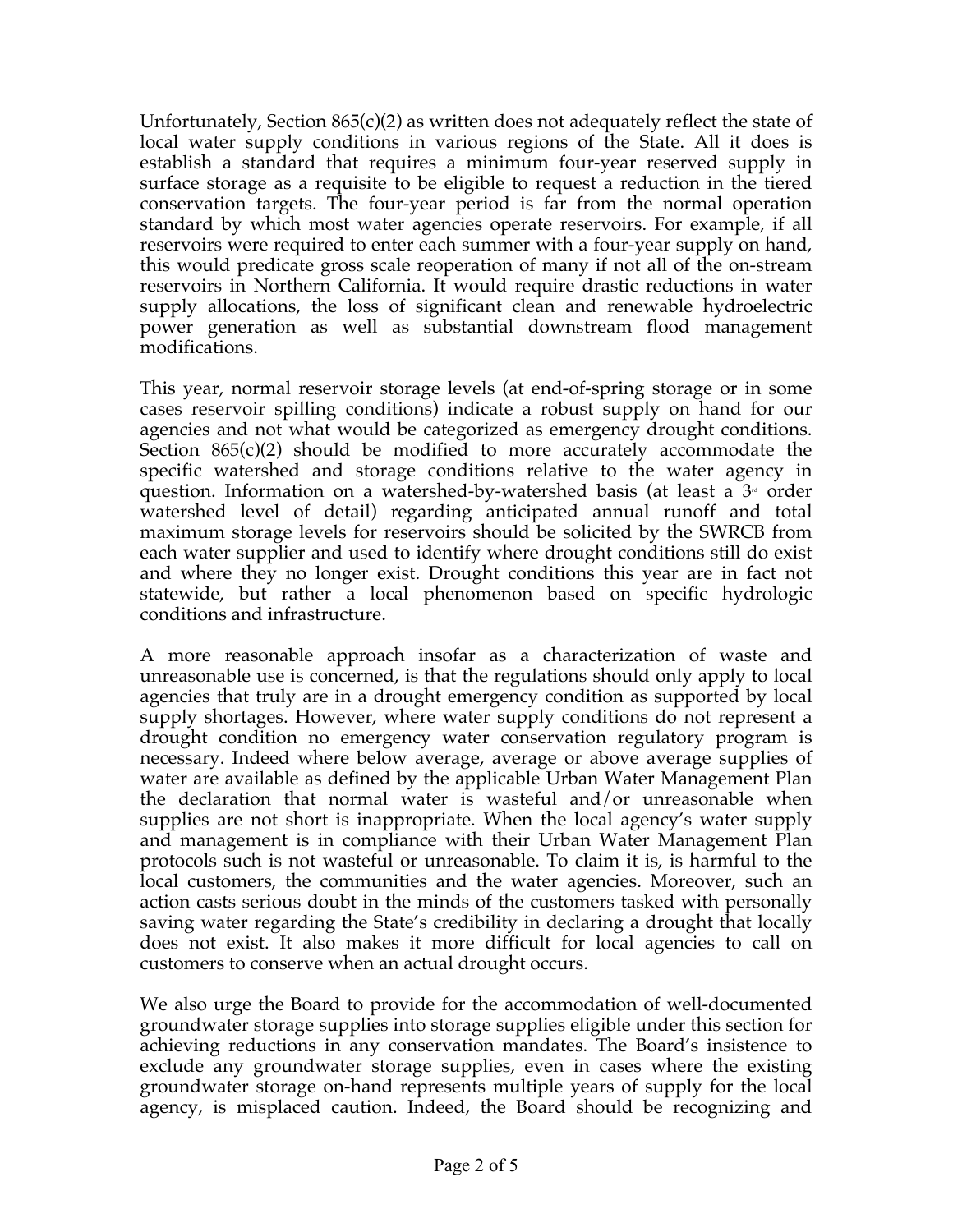Unfortunately, Section  $865(c)(2)$  as written does not adequately reflect the state of local water supply conditions in various regions of the State. All it does is establish a standard that requires a minimum four-year reserved supply in surface storage as a requisite to be eligible to request a reduction in the tiered conservation targets. The four-year period is far from the normal operation standard by which most water agencies operate reservoirs. For example, if all reservoirs were required to enter each summer with a four-year supply on hand, this would predicate gross scale reoperation of many if not all of the on-stream reservoirs in Northern California. It would require drastic reductions in water supply allocations, the loss of significant clean and renewable hydroelectric power generation as well as substantial downstream flood management modifications.

This year, normal reservoir storage levels (at end-of-spring storage or in some cases reservoir spilling conditions) indicate a robust supply on hand for our agencies and not what would be categorized as emergency drought conditions. Section  $865(c)(2)$  should be modified to more accurately accommodate the specific watershed and storage conditions relative to the water agency in question. Information on a watershed-by-watershed basis (at least a  $3<sup>d</sup>$  order watershed level of detail) regarding anticipated annual runoff and total maximum storage levels for reservoirs should be solicited by the SWRCB from each water supplier and used to identify where drought conditions still do exist and where they no longer exist. Drought conditions this year are in fact not statewide, but rather a local phenomenon based on specific hydrologic conditions and infrastructure.

A more reasonable approach insofar as a characterization of waste and unreasonable use is concerned, is that the regulations should only apply to local agencies that truly are in a drought emergency condition as supported by local supply shortages. However, where water supply conditions do not represent a drought condition no emergency water conservation regulatory program is necessary. Indeed where below average, average or above average supplies of water are available as defined by the applicable Urban Water Management Plan the declaration that normal water is wasteful and/or unreasonable when supplies are not short is inappropriate. When the local agency's water supply and management is in compliance with their Urban Water Management Plan protocols such is not wasteful or unreasonable. To claim it is, is harmful to the local customers, the communities and the water agencies. Moreover, such an action casts serious doubt in the minds of the customers tasked with personally saving water regarding the State's credibility in declaring a drought that locally does not exist. It also makes it more difficult for local agencies to call on customers to conserve when an actual drought occurs.

We also urge the Board to provide for the accommodation of well-documented groundwater storage supplies into storage supplies eligible under this section for achieving reductions in any conservation mandates. The Board's insistence to exclude any groundwater storage supplies, even in cases where the existing groundwater storage on-hand represents multiple years of supply for the local agency, is misplaced caution. Indeed, the Board should be recognizing and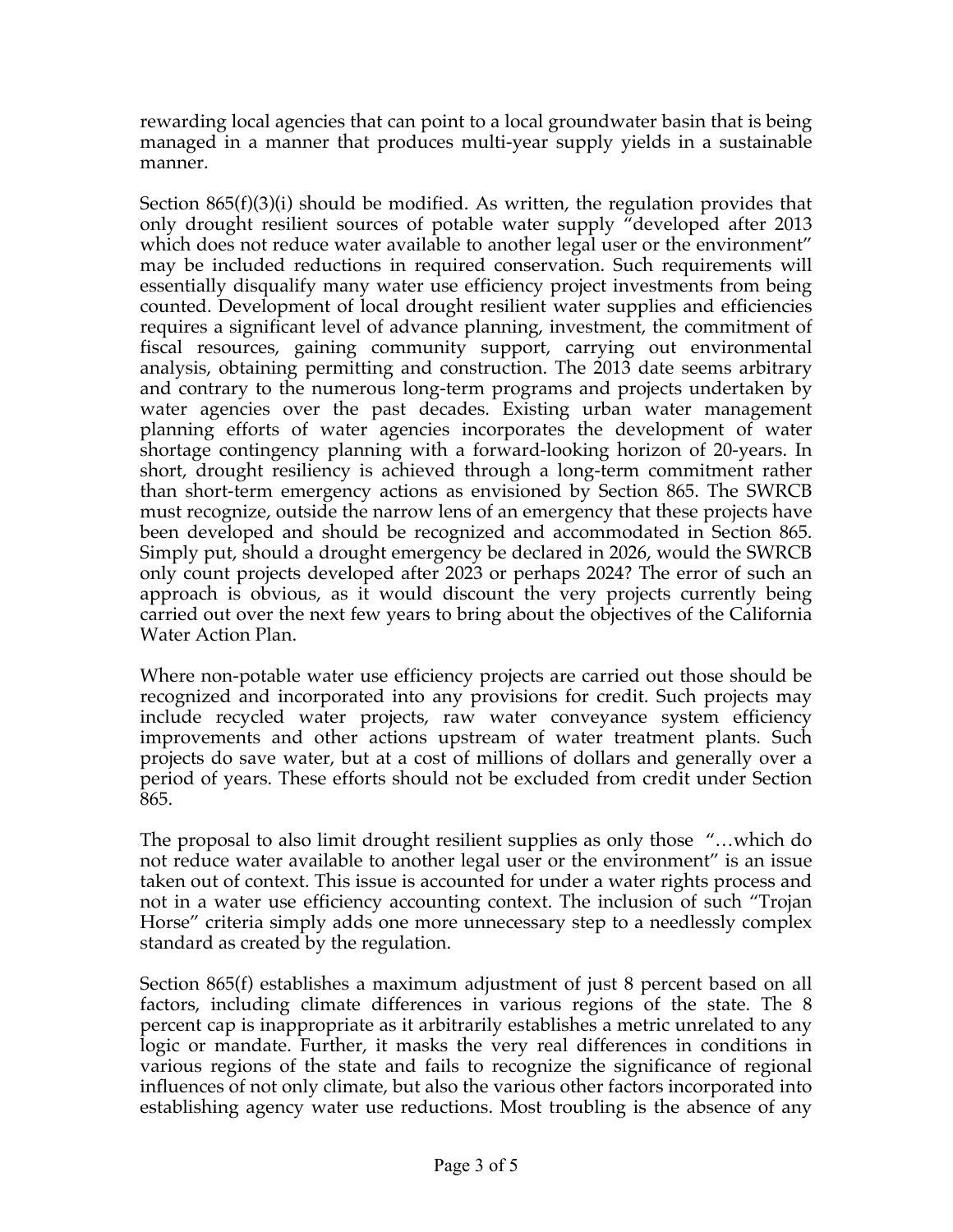rewarding local agencies that can point to a local groundwater basin that is being managed in a manner that produces multi-year supply yields in a sustainable manner.

Section 865(f)(3)(i) should be modified. As written, the regulation provides that only drought resilient sources of potable water supply "developed after 2013 which does not reduce water available to another legal user or the environment" may be included reductions in required conservation. Such requirements will essentially disqualify many water use efficiency project investments from being counted. Development of local drought resilient water supplies and efficiencies requires a significant level of advance planning, investment, the commitment of fiscal resources, gaining community support, carrying out environmental analysis, obtaining permitting and construction. The 2013 date seems arbitrary and contrary to the numerous long-term programs and projects undertaken by water agencies over the past decades. Existing urban water management planning efforts of water agencies incorporates the development of water shortage contingency planning with a forward-looking horizon of 20-years. In short, drought resiliency is achieved through a long-term commitment rather than short-term emergency actions as envisioned by Section 865. The SWRCB must recognize, outside the narrow lens of an emergency that these projects have been developed and should be recognized and accommodated in Section 865. Simply put, should a drought emergency be declared in 2026, would the SWRCB only count projects developed after 2023 or perhaps 2024? The error of such an approach is obvious, as it would discount the very projects currently being carried out over the next few years to bring about the objectives of the California Water Action Plan.

Where non-potable water use efficiency projects are carried out those should be recognized and incorporated into any provisions for credit. Such projects may include recycled water projects, raw water conveyance system efficiency improvements and other actions upstream of water treatment plants. Such projects do save water, but at a cost of millions of dollars and generally over a period of years. These efforts should not be excluded from credit under Section 865.

The proposal to also limit drought resilient supplies as only those "…which do not reduce water available to another legal user or the environment" is an issue taken out of context. This issue is accounted for under a water rights process and not in a water use efficiency accounting context. The inclusion of such "Trojan Horse" criteria simply adds one more unnecessary step to a needlessly complex standard as created by the regulation.

Section 865(f) establishes a maximum adjustment of just 8 percent based on all factors, including climate differences in various regions of the state. The 8 percent cap is inappropriate as it arbitrarily establishes a metric unrelated to any logic or mandate. Further, it masks the very real differences in conditions in various regions of the state and fails to recognize the significance of regional influences of not only climate, but also the various other factors incorporated into establishing agency water use reductions. Most troubling is the absence of any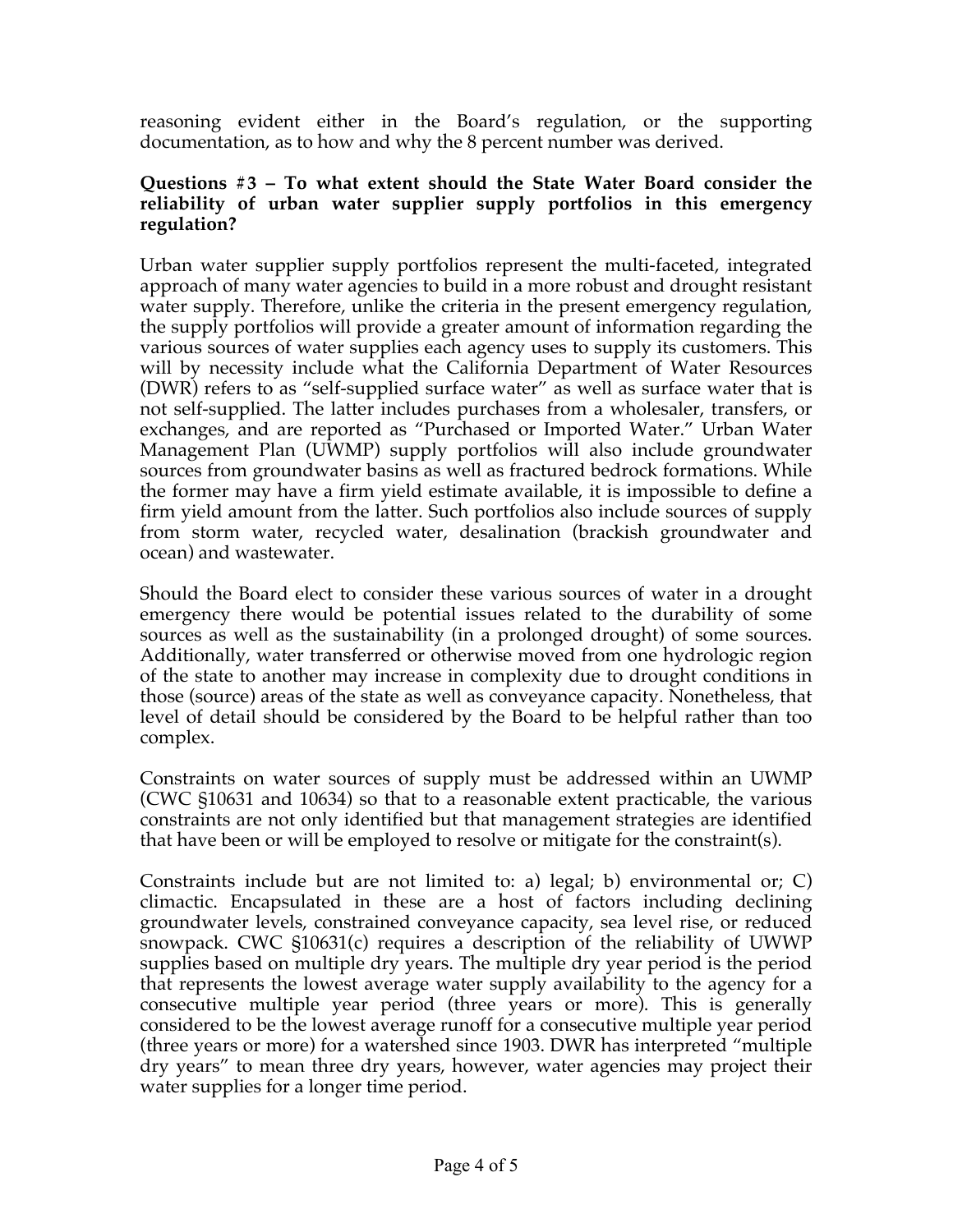reasoning evident either in the Board's regulation, or the supporting documentation, as to how and why the 8 percent number was derived.

## **Questions #3 – To what extent should the State Water Board consider the reliability of urban water supplier supply portfolios in this emergency regulation?**

Urban water supplier supply portfolios represent the multi-faceted, integrated approach of many water agencies to build in a more robust and drought resistant water supply. Therefore, unlike the criteria in the present emergency regulation, the supply portfolios will provide a greater amount of information regarding the various sources of water supplies each agency uses to supply its customers. This will by necessity include what the California Department of Water Resources (DWR) refers to as "self-supplied surface water" as well as surface water that is not self-supplied. The latter includes purchases from a wholesaler, transfers, or exchanges, and are reported as "Purchased or Imported Water." Urban Water Management Plan (UWMP) supply portfolios will also include groundwater sources from groundwater basins as well as fractured bedrock formations. While the former may have a firm yield estimate available, it is impossible to define a firm yield amount from the latter. Such portfolios also include sources of supply from storm water, recycled water, desalination (brackish groundwater and ocean) and wastewater.

Should the Board elect to consider these various sources of water in a drought emergency there would be potential issues related to the durability of some sources as well as the sustainability (in a prolonged drought) of some sources. Additionally, water transferred or otherwise moved from one hydrologic region of the state to another may increase in complexity due to drought conditions in those (source) areas of the state as well as conveyance capacity. Nonetheless, that level of detail should be considered by the Board to be helpful rather than too complex.

Constraints on water sources of supply must be addressed within an UWMP (CWC §10631 and 10634) so that to a reasonable extent practicable, the various constraints are not only identified but that management strategies are identified that have been or will be employed to resolve or mitigate for the constraint(s).

Constraints include but are not limited to: a) legal; b) environmental or; C) climactic. Encapsulated in these are a host of factors including declining groundwater levels, constrained conveyance capacity, sea level rise, or reduced snowpack. CWC §10631(c) requires a description of the reliability of UWWP supplies based on multiple dry years. The multiple dry year period is the period that represents the lowest average water supply availability to the agency for a consecutive multiple year period (three years or more). This is generally considered to be the lowest average runoff for a consecutive multiple year period (three years or more) for a watershed since 1903. DWR has interpreted "multiple dry years" to mean three dry years, however, water agencies may project their water supplies for a longer time period.